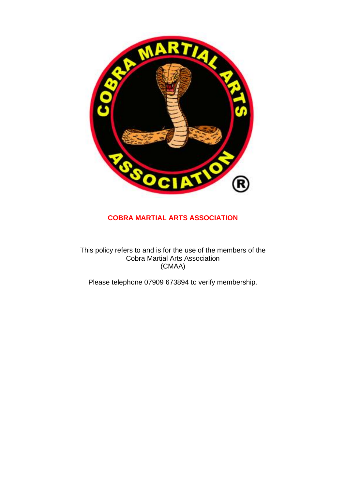

## **COBRA MARTIAL ARTS ASSOCIATION**

This policy refers to and is for the use of the members of the Cobra Martial Arts Association (CMAA)

Please telephone 07909 673894 to verify membership.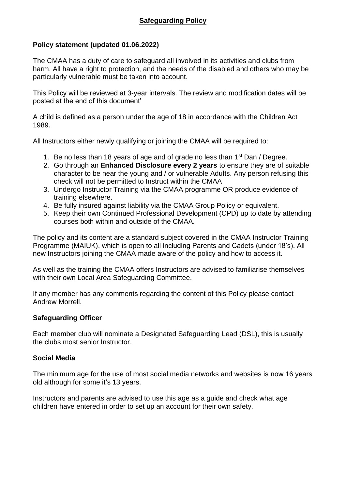## **Policy statement (updated 01.06.2022)**

The CMAA has a duty of care to safeguard all involved in its activities and clubs from harm. All have a right to protection, and the needs of the disabled and others who may be particularly vulnerable must be taken into account.

This Policy will be reviewed at 3-year intervals. The review and modification dates will be posted at the end of this document'

A child is defined as a person under the age of 18 in accordance with the Children Act 1989.

All Instructors either newly qualifying or joining the CMAA will be required to:

- 1. Be no less than 18 years of age and of grade no less than 1<sup>st</sup> Dan / Degree.
- 2. Go through an **Enhanced Disclosure every 2 years** to ensure they are of suitable character to be near the young and / or vulnerable Adults. Any person refusing this check will not be permitted to Instruct within the CMAA
- 3. Undergo Instructor Training via the CMAA programme OR produce evidence of training elsewhere.
- 4. Be fully insured against liability via the CMAA Group Policy or equivalent.
- 5. Keep their own Continued Professional Development (CPD) up to date by attending courses both within and outside of the CMAA.

The policy and its content are a standard subject covered in the CMAA Instructor Training Programme (MAIUK), which is open to all including Parents and Cadets (under 18's). All new Instructors joining the CMAA made aware of the policy and how to access it.

As well as the training the CMAA offers Instructors are advised to familiarise themselves with their own Local Area Safeguarding Committee.

If any member has any comments regarding the content of this Policy please contact Andrew Morrell.

### **Safeguarding Officer**

Each member club will nominate a Designated Safeguarding Lead (DSL), this is usually the clubs most senior Instructor.

### **Social Media**

The minimum age for the use of most social media networks and websites is now 16 years old although for some it's 13 years.

Instructors and parents are advised to use this age as a guide and check what age children have entered in order to set up an account for their own safety.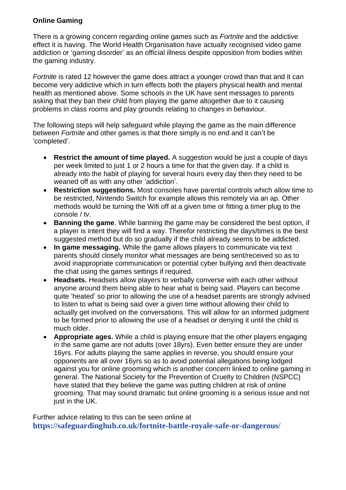### **Online Gaming**

There is a growing concern regarding online games such as *Fortnite* and the addictive effect it is having. The World Health Organisation have actually recognised video game addiction or 'gaming disorder' as an official illness despite opposition from bodies within the gaming industry.

*Fortnite* is rated 12 however the game does attract a younger crowd than that and it can become very addictive which in turn effects both the players physical health and mental health as mentioned above. Some schools in the UK have sent messages to parents asking that they ban their child from playing the game altogether due to it causing problems in class rooms and play grounds relating to changes in behaviour.

The following steps will help safeguard while playing the game as the main difference between *Fortnite* and other games is that there simply is no end and it can't be 'completed'.

- **Restrict the amount of time played.** A suggestion would be just a couple of days per week limited to just 1 or 2 hours a time for that the given day. If a child is already into the habit of playing for several hours every day then they need to be weaned off as with any other 'addiction'.
- **Restriction suggestions.** Most consoles have parental controls which allow time to be restricted, Nintendo Switch for example allows this remotely via an ap. Other methods would be turning the Wifi off at a given time or fitting a timer plug to the console / tv.
- **Banning the game**. While banning the game may be considered the best option, if a player is intent they will find a way. Therefor restricting the days/times is the best suggested method but do so gradually if the child already seems to be addicted.
- **In game messaging.** While the game allows players to communicate via text parents should closely monitor what messages are being sent/received so as to avoid inappropriate communication or potential cyber bullying and then deactivate the chat using the games settings if required.
- **Headsets.** Headsets allow players to verbally converse with each other without anyone around them being able to hear what is being said. Players can become quite 'heated' so prior to allowing the use of a headset parents are strongly advised to listen to what is being said over a given time without allowing their child to actually get involved on the conversations. This will allow for an informed judgment to be formed prior to allowing the use of a headset or denying it until the child is much older.
- **Appropriate ages.** While a child is playing ensure that the other players engaging in the same game are not adults (over 18yrs). Even better ensure they are under 16yrs. For adults playing the same applies in reverse, you should ensure your opponents are all over 16yrs so as to avoid potential allegations being lodged against you for online grooming which is another concern linked to online gaming in general. The National Society for the Prevention of Cruelty to Children (NSPCC) have stated that they believe the game was putting children at risk of online grooming. That may sound dramatic but online grooming is a serious issue and not just in the UK.

Further advice relating to this can be seen online at **<https://safeguardinghub.co.uk/fortnite-battle-royale-safe-or-dangerous/>**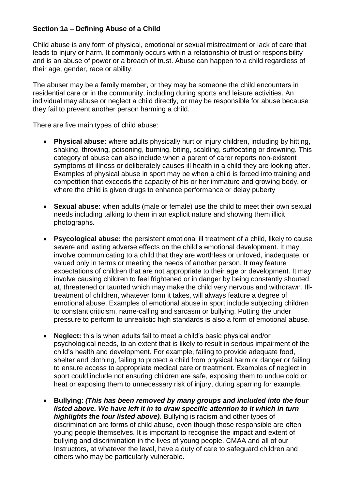### **Section 1a – Defining Abuse of a Child**

Child abuse is any form of physical, emotional or sexual mistreatment or lack of care that leads to injury or harm. It commonly occurs within a relationship of trust or responsibility and is an abuse of power or a breach of trust. Abuse can happen to a child regardless of their age, gender, race or ability.

The abuser may be a family member, or they may be someone the child encounters in residential care or in the community, including during sports and leisure activities. An individual may abuse or neglect a child directly, or may be responsible for abuse because they fail to prevent another person harming a child.

There are five main types of child abuse:

- **Physical abuse:** where adults physically hurt or injury children, including by hitting, shaking, throwing, poisoning, burning, biting, scalding, suffocating or drowning. This category of abuse can also include when a parent of carer reports non-existent symptoms of illness or deliberately causes ill health in a child they are looking after. Examples of physical abuse in sport may be when a child is forced into training and competition that exceeds the capacity of his or her immature and growing body, or where the child is given drugs to enhance performance or delay puberty
- **Sexual abuse:** when adults (male or female) use the child to meet their own sexual needs including talking to them in an explicit nature and showing them illicit photographs.
- **Psycological abuse:** the persistent emotional ill treatment of a child, likely to cause severe and lasting adverse effects on the child's emotional development. It may involve communicating to a child that they are worthless or unloved, inadequate, or valued only in terms or meeting the needs of another person. It may feature expectations of children that are not appropriate to their age or development. It may involve causing children to feel frightened or in danger by being constantly shouted at, threatened or taunted which may make the child very nervous and withdrawn. Illtreatment of children, whatever form it takes, will always feature a degree of emotional abuse. Examples of emotional abuse in sport include subjecting children to constant criticism, name-calling and sarcasm or bullying. Putting the under pressure to perform to unrealistic high standards is also a form of emotional abuse.
- **Neglect:** this is when adults fail to meet a child's basic physical and/or psychological needs, to an extent that is likely to result in serious impairment of the child's health and development. For example, failing to provide adequate food, shelter and clothing, failing to protect a child from physical harm or danger or failing to ensure access to appropriate medical care or treatment. Examples of neglect in sport could include not ensuring children are safe, exposing them to undue cold or heat or exposing them to unnecessary risk of injury, during sparring for example.
- **Bullying**: *(This has been removed by many groups and included into the four listed above. We have left it in to draw specific attention to it which in turn highlights the four listed above)*. Bullying is racism and other types of discrimination are forms of child abuse, even though those responsible are often young people themselves. It is important to recognise the impact and extent of bullying and discrimination in the lives of young people. CMAA and all of our Instructors, at whatever the level, have a duty of care to safeguard children and others who may be particularly vulnerable.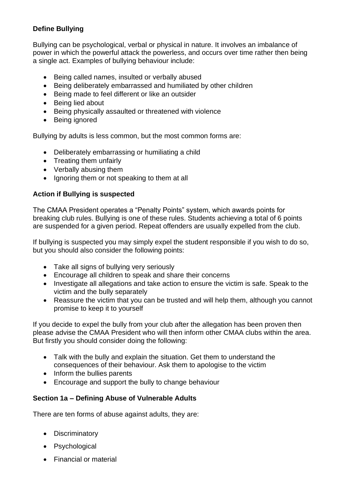## **Define Bullying**

Bullying can be psychological, verbal or physical in nature. It involves an imbalance of power in which the powerful attack the powerless, and occurs over time rather then being a single act. Examples of bullying behaviour include:

- Being called names, insulted or verbally abused
- Being deliberately embarrassed and humiliated by other children
- Being made to feel different or like an outsider
- Being lied about
- Being physically assaulted or threatened with violence
- Being ignored

Bullying by adults is less common, but the most common forms are:

- Deliberately embarrassing or humiliating a child
- Treating them unfairly
- Verbally abusing them
- Ignoring them or not speaking to them at all

#### **Action if Bullying is suspected**

The CMAA President operates a "Penalty Points" system, which awards points for breaking club rules. Bullying is one of these rules. Students achieving a total of 6 points are suspended for a given period. Repeat offenders are usually expelled from the club.

If bullying is suspected you may simply expel the student responsible if you wish to do so, but you should also consider the following points:

- Take all signs of bullying very seriously
- Encourage all children to speak and share their concerns
- Investigate all allegations and take action to ensure the victim is safe. Speak to the victim and the bully separately
- Reassure the victim that you can be trusted and will help them, although you cannot promise to keep it to yourself

If you decide to expel the bully from your club after the allegation has been proven then please advise the CMAA President who will then inform other CMAA clubs within the area. But firstly you should consider doing the following:

- Talk with the bully and explain the situation. Get them to understand the consequences of their behaviour. Ask them to apologise to the victim
- Inform the bullies parents
- Encourage and support the bully to change behaviour

### **Section 1a – Defining Abuse of Vulnerable Adults**

There are ten forms of abuse against adults, they are:

- Discriminatory
- Psychological
- Financial or material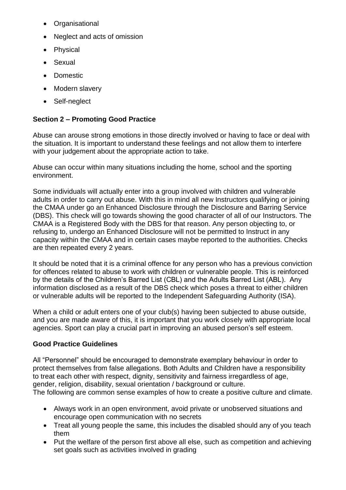- Organisational
- Neglect and acts of omission
- Physical
- Sexual
- Domestic
- [Modern slavery](http://www.ersab.org.uk/what-is-abuse/the-ten-types-of-abuse/modern-slavery/)
- Self-neglect

# **Section 2 – Promoting Good Practice**

Abuse can arouse strong emotions in those directly involved or having to face or deal with the situation. It is important to understand these feelings and not allow them to interfere with your judgement about the appropriate action to take.

Abuse can occur within many situations including the home, school and the sporting environment.

Some individuals will actually enter into a group involved with children and vulnerable adults in order to carry out abuse. With this in mind all new Instructors qualifying or joining the CMAA under go an Enhanced Disclosure through the Disclosure and Barring Service (DBS). This check will go towards showing the good character of all of our Instructors. The CMAA is a Registered Body with the DBS for that reason. Any person objecting to, or refusing to, undergo an Enhanced Disclosure will not be permitted to Instruct in any capacity within the CMAA and in certain cases maybe reported to the authorities. Checks are then repeated every 2 years.

It should be noted that it is a criminal offence for any person who has a previous conviction for offences related to abuse to work with children or vulnerable people. This is reinforced by the details of the Children's Barred List (CBL) and the Adults Barred List (ABL). Any information disclosed as a result of the DBS check which poses a threat to either children or vulnerable adults will be reported to the Independent Safeguarding Authority (ISA).

When a child or adult enters one of your club(s) having been subjected to abuse outside, and you are made aware of this, it is important that you work closely with appropriate local agencies. Sport can play a crucial part in improving an abused person's self esteem.

# **Good Practice Guidelines**

All "Personnel" should be encouraged to demonstrate exemplary behaviour in order to protect themselves from false allegations. Both Adults and Children have a responsibility to treat each other with respect, dignity, sensitivity and fairness irregardless of age, gender, religion, disability, sexual orientation / background or culture. The following are common sense examples of how to create a positive culture and climate.

- Always work in an open environment, avoid private or unobserved situations and encourage open communication with no secrets
- Treat all young people the same, this includes the disabled should any of you teach them
- Put the welfare of the person first above all else, such as competition and achieving set goals such as activities involved in grading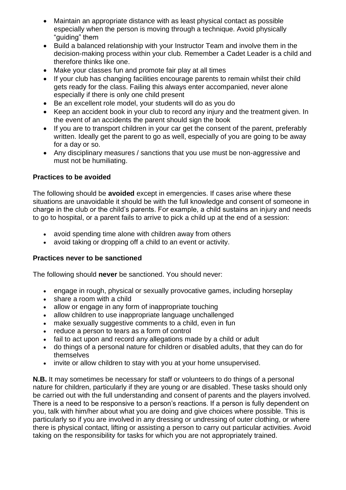- Maintain an appropriate distance with as least physical contact as possible especially when the person is moving through a technique. Avoid physically "guiding" them
- Build a balanced relationship with your Instructor Team and involve them in the decision-making process within your club. Remember a Cadet Leader is a child and therefore thinks like one.
- Make your classes fun and promote fair play at all times
- If your club has changing facilities encourage parents to remain whilst their child gets ready for the class. Failing this always enter accompanied, never alone especially if there is only one child present
- Be an excellent role model, your students will do as you do
- Keep an accident book in your club to record any injury and the treatment given. In the event of an accidents the parent should sign the book
- If you are to transport children in your car get the consent of the parent, preferably written. Ideally get the parent to go as well, especially of you are going to be away for a day or so.
- Any disciplinary measures / sanctions that you use must be non-aggressive and must not be humiliating.

### **Practices to be avoided**

The following should be **avoided** except in emergencies. If cases arise where these situations are unavoidable it should be with the full knowledge and consent of someone in charge in the club or the child's parents. For example, a child sustains an injury and needs to go to hospital, or a parent fails to arrive to pick a child up at the end of a session:

- avoid spending time alone with children away from others
- avoid taking or dropping off a child to an event or activity.

## **Practices never to be sanctioned**

The following should **never** be sanctioned. You should never:

- engage in rough, physical or sexually provocative games, including horseplay
- share a room with a child
- allow or engage in any form of inappropriate touching
- allow children to use inappropriate language unchallenged
- make sexually suggestive comments to a child, even in fun
- reduce a person to tears as a form of control
- fail to act upon and record any allegations made by a child or adult
- do things of a personal nature for children or disabled adults, that they can do for themselves
- invite or allow children to stay with you at your home unsupervised.

**N.B.** It may sometimes be necessary for staff or volunteers to do things of a personal nature for children, particularly if they are young or are disabled. These tasks should only be carried out with the full understanding and consent of parents and the players involved. There is a need to be responsive to a person's reactions. If a person is fully dependent on you, talk with him/her about what you are doing and give choices where possible. This is particularly so if you are involved in any dressing or undressing of outer clothing, or where there is physical contact, lifting or assisting a person to carry out particular activities. Avoid taking on the responsibility for tasks for which you are not appropriately trained.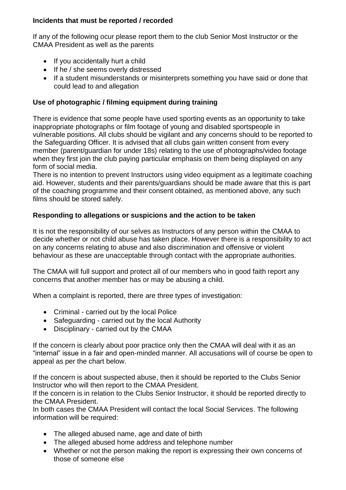### **Incidents that must be reported / recorded**

If any of the following ocur please report them to the club Senior Most Instructor or the CMAA President as well as the parents

- If you accidentally hurt a child
- If he / she seems overly distressed
- If a student misunderstands or misinterprets something you have said or done that could lead to and allegation

## **Use of photographic / filming equipment during training**

There is evidence that some people have used sporting events as an opportunity to take inappropriate photographs or film footage of young and disabled sportspeople in vulnerable positions. All clubs should be vigilant and any concerns should to be reported to the Safeguarding Officer. It is advised that all clubs gain written consent from every member (parent/guardian for under 18s) relating to the use of photographs/video footage when they first join the club paying particular emphasis on them being displayed on any form of social media.

There is no intention to prevent Instructors using video equipment as a legitimate coaching aid. However, students and their parents/guardians should be made aware that this is part of the coaching programme and their consent obtained, as mentioned above, any such films should be stored safely.

### **Responding to allegations or suspicions and the action to be taken**

It is not the responsibility of our selves as Instructors of any person within the CMAA to decide whether or not child abuse has taken place. However there is a responsibility to act on any concerns relating to abuse and also discrimination and offensive or violent behaviour as these are unacceptable through contact with the appropriate authorities.

The CMAA will full support and protect all of our members who in good faith report any concerns that another member has or may be abusing a child.

When a complaint is reported, there are three types of investigation:

- Criminal carried out by the local Police
- Safeguarding carried out by the local Authority
- Disciplinary carried out by the CMAA

If the concern is clearly about poor practice only then the CMAA will deal with it as an "internal" issue in a fair and open-minded manner. All accusations will of course be open to appeal as per the chart below.

If the concern is about suspected abuse, then it should be reported to the Clubs Senior Instructor who will then report to the CMAA President.

If the concern is in relation to the Clubs Senior Instructor, it should be reported directly to the CMAA President.

In both cases the CMAA President will contact the local Social Services. The following information will be required:

- The alleged abused name, age and date of birth
- The alleged abused home address and telephone number
- Whether or not the person making the report is expressing their own concerns of those of someone else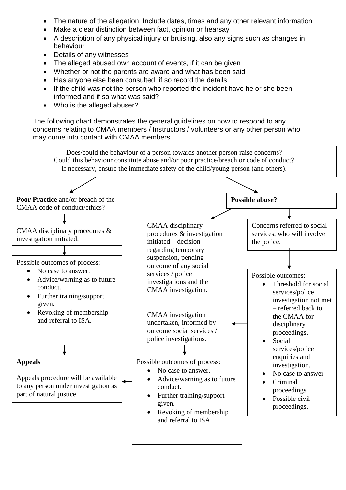- The nature of the allegation. Include dates, times and any other relevant information
- Make a clear distinction between fact, opinion or hearsay
- A description of any physical injury or bruising, also any signs such as changes in behaviour
- Details of any witnesses
- The alleged abused own account of events, if it can be given
- Whether or not the parents are aware and what has been said
- Has anyone else been consulted, if so record the details
- If the child was not the person who reported the incident have he or she been informed and if so what was said?
- Who is the alleged abuser?

The following chart demonstrates the general guidelines on how to respond to any concerns relating to CMAA members / Instructors / volunteers or any other person who may come into contact with CMAA members.